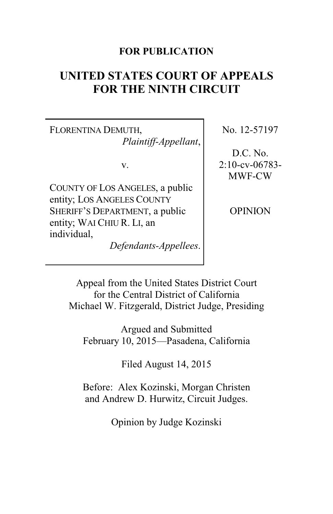# **FOR PUBLICATION**

# **UNITED STATES COURT OF APPEALS FOR THE NINTH CIRCUIT**

FLORENTINA DEMUTH, *Plaintiff-Appellant*,

v.

COUNTY OF LOS ANGELES, a public entity; LOS ANGELES COUNTY SHERIFF'S DEPARTMENT, a public entity; WAI CHIU R. LI, an individual,

*Defendants-Appellees*.

No. 12-57197

D.C. No. 2:10-cv-06783- MWF-CW

**OPINION** 

Appeal from the United States District Court for the Central District of California Michael W. Fitzgerald, District Judge, Presiding

Argued and Submitted February 10, 2015—Pasadena, California

Filed August 14, 2015

Before: Alex Kozinski, Morgan Christen and Andrew D. Hurwitz, Circuit Judges.

Opinion by Judge Kozinski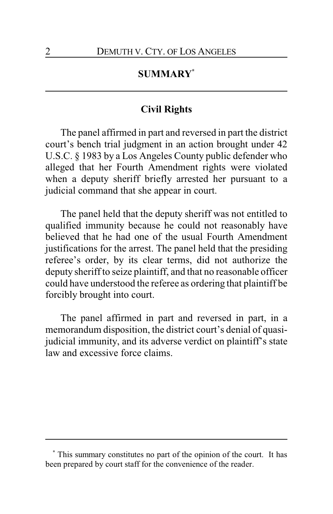# **SUMMARY\***

## **Civil Rights**

The panel affirmed in part and reversed in part the district court's bench trial judgment in an action brought under 42 U.S.C. § 1983 by a Los Angeles County public defender who alleged that her Fourth Amendment rights were violated when a deputy sheriff briefly arrested her pursuant to a judicial command that she appear in court.

The panel held that the deputy sheriff was not entitled to qualified immunity because he could not reasonably have believed that he had one of the usual Fourth Amendment justifications for the arrest. The panel held that the presiding referee's order, by its clear terms, did not authorize the deputy sheriff to seize plaintiff, and that no reasonable officer could have understood the referee as ordering that plaintiff be forcibly brought into court.

The panel affirmed in part and reversed in part, in a memorandum disposition, the district court's denial of quasijudicial immunity, and its adverse verdict on plaintiff's state law and excessive force claims.

**<sup>\*</sup>** This summary constitutes no part of the opinion of the court. It has been prepared by court staff for the convenience of the reader.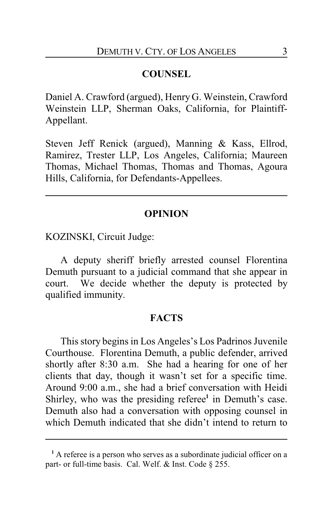#### **COUNSEL**

Daniel A. Crawford (argued), Henry G. Weinstein, Crawford Weinstein LLP, Sherman Oaks, California, for Plaintiff-Appellant.

Steven Jeff Renick (argued), Manning & Kass, Ellrod, Ramirez, Trester LLP, Los Angeles, California; Maureen Thomas, Michael Thomas, Thomas and Thomas, Agoura Hills, California, for Defendants-Appellees.

#### **OPINION**

KOZINSKI, Circuit Judge:

A deputy sheriff briefly arrested counsel Florentina Demuth pursuant to a judicial command that she appear in court. We decide whether the deputy is protected by qualified immunity.

#### **FACTS**

This story begins in Los Angeles's Los Padrinos Juvenile Courthouse. Florentina Demuth, a public defender, arrived shortly after 8:30 a.m. She had a hearing for one of her clients that day, though it wasn't set for a specific time. Around 9:00 a.m., she had a brief conversation with Heidi Shirley, who was the presiding referee**<sup>1</sup>** in Demuth's case. Demuth also had a conversation with opposing counsel in which Demuth indicated that she didn't intend to return to

**<sup>1</sup>** A referee is a person who serves as a subordinate judicial officer on a part- or full-time basis. Cal. Welf. & Inst. Code § 255.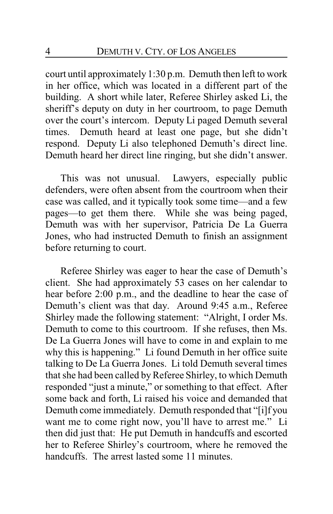court until approximately 1:30 p.m. Demuth then left to work in her office, which was located in a different part of the building. A short while later, Referee Shirley asked Li, the sheriff's deputy on duty in her courtroom, to page Demuth over the court's intercom. Deputy Li paged Demuth several times. Demuth heard at least one page, but she didn't respond. Deputy Li also telephoned Demuth's direct line. Demuth heard her direct line ringing, but she didn't answer.

This was not unusual. Lawyers, especially public defenders, were often absent from the courtroom when their case was called, and it typically took some time—and a few pages—to get them there. While she was being paged, Demuth was with her supervisor, Patricia De La Guerra Jones, who had instructed Demuth to finish an assignment before returning to court.

Referee Shirley was eager to hear the case of Demuth's client. She had approximately 53 cases on her calendar to hear before 2:00 p.m., and the deadline to hear the case of Demuth's client was that day. Around 9:45 a.m., Referee Shirley made the following statement: "Alright, I order Ms. Demuth to come to this courtroom. If she refuses, then Ms. De La Guerra Jones will have to come in and explain to me why this is happening." Li found Demuth in her office suite talking to De La Guerra Jones. Li told Demuth several times that she had been called by Referee Shirley, to which Demuth responded "just a minute," or something to that effect. After some back and forth, Li raised his voice and demanded that Demuth come immediately. Demuth responded that "[i]f you want me to come right now, you'll have to arrest me." Li then did just that: He put Demuth in handcuffs and escorted her to Referee Shirley's courtroom, where he removed the handcuffs. The arrest lasted some 11 minutes.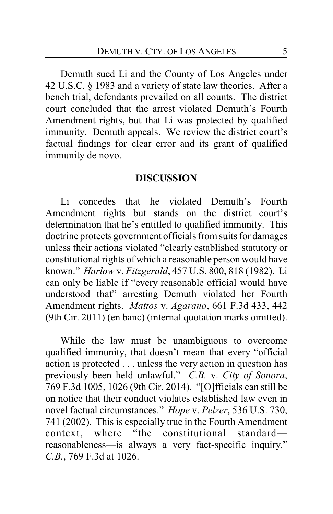Demuth sued Li and the County of Los Angeles under 42 U.S.C. § 1983 and a variety of state law theories. After a bench trial, defendants prevailed on all counts. The district court concluded that the arrest violated Demuth's Fourth Amendment rights, but that Li was protected by qualified immunity. Demuth appeals. We review the district court's factual findings for clear error and its grant of qualified immunity de novo.

#### **DISCUSSION**

Li concedes that he violated Demuth's Fourth Amendment rights but stands on the district court's determination that he's entitled to qualified immunity. This doctrine protects government officials from suits for damages unless their actions violated "clearly established statutory or constitutional rights of which a reasonable person would have known." *Harlow* v. *Fitzgerald*, 457 U.S. 800, 818 (1982). Li can only be liable if "every reasonable official would have understood that" arresting Demuth violated her Fourth Amendment rights. *Mattos* v. *Agarano*, 661 F.3d 433, 442 (9th Cir. 2011) (en banc) (internal quotation marks omitted).

While the law must be unambiguous to overcome qualified immunity, that doesn't mean that every "official action is protected . . . unless the very action in question has previously been held unlawful." *C.B.* v. *City of Sonora*, 769 F.3d 1005, 1026 (9th Cir. 2014). "[O]fficials can still be on notice that their conduct violates established law even in novel factual circumstances." *Hope* v. *Pelzer*, 536 U.S. 730, 741 (2002). This is especially true in the Fourth Amendment context, where "the constitutional standard reasonableness—is always a very fact-specific inquiry." *C.B.*, 769 F.3d at 1026.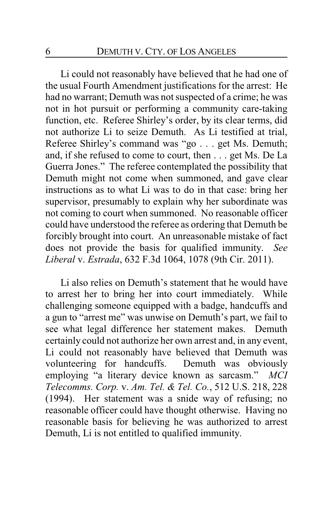Li could not reasonably have believed that he had one of the usual Fourth Amendment justifications for the arrest: He had no warrant; Demuth was not suspected of a crime; he was not in hot pursuit or performing a community care-taking function, etc. Referee Shirley's order, by its clear terms, did not authorize Li to seize Demuth. As Li testified at trial, Referee Shirley's command was "go . . . get Ms. Demuth; and, if she refused to come to court, then . . . get Ms. De La Guerra Jones." The referee contemplated the possibility that Demuth might not come when summoned, and gave clear instructions as to what Li was to do in that case: bring her supervisor, presumably to explain why her subordinate was not coming to court when summoned. No reasonable officer could have understood the referee as ordering that Demuth be forcibly brought into court. An unreasonable mistake of fact does not provide the basis for qualified immunity. *See Liberal* v. *Estrada*, 632 F.3d 1064, 1078 (9th Cir. 2011).

Li also relies on Demuth's statement that he would have to arrest her to bring her into court immediately. While challenging someone equipped with a badge, handcuffs and a gun to "arrest me" was unwise on Demuth's part, we fail to see what legal difference her statement makes. Demuth certainly could not authorize her own arrest and, in any event, Li could not reasonably have believed that Demuth was volunteering for handcuffs. Demuth was obviously employing "a literary device known as sarcasm." *MCI Telecomms. Corp.* v. *Am. Tel. & Tel. Co.*, 512 U.S. 218, 228 (1994). Her statement was a snide way of refusing; no reasonable officer could have thought otherwise. Having no reasonable basis for believing he was authorized to arrest Demuth, Li is not entitled to qualified immunity.